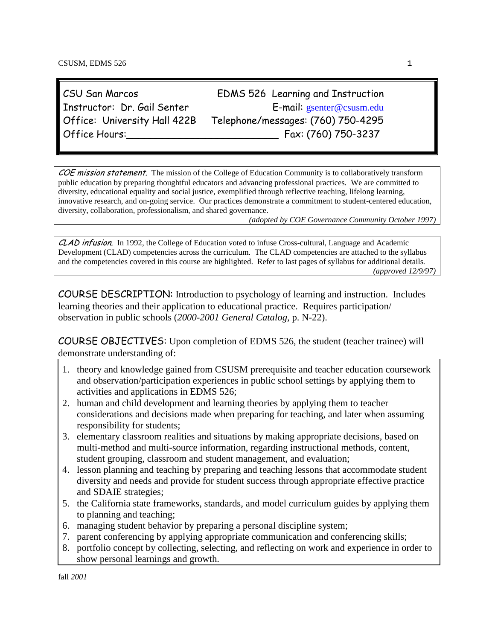| CSU San Marcos               | <b>EDMS 526 Learning and Instruction</b> |
|------------------------------|------------------------------------------|
| Instructor: Dr. Gail Senter  | E-mail: gsenter@csusm.edu                |
| Office: University Hall 422B | Telephone/messages: (760) 750-4295       |
| Office Hours:                | Fax: (760) 750-3237                      |

COE mission statement. The mission of the College of Education Community is to collaboratively transform public education by preparing thoughtful educators and advancing professional practices. We are committed to diversity, educational equality and social justice, exemplified through reflective teaching, lifelong learning, innovative research, and on-going service. Our practices demonstrate a commitment to student-centered education, diversity, collaboration, professionalism, and shared governance.

*(adopted by COE Governance Community October 1997)*

CLAD infusion. In 1992, the College of Education voted to infuse Cross-cultural, Language and Academic Development (CLAD) competencies across the curriculum. The CLAD competencies are attached to the syllabus and the competencies covered in this course are highlighted. Refer to last pages of syllabus for additional details*. (approved 12/9/97)*

COURSE DESCRIPTION: Introduction to psychology of learning and instruction. Includes learning theories and their application to educational practice. Requires participation/ observation in public schools (*2000-2001 General Catalog,* p. N-22).

COURSE OBJECTIVES: Upon completion of EDMS 526, the student (teacher trainee) will demonstrate understanding of:

- 1. theory and knowledge gained from CSUSM prerequisite and teacher education coursework and observation/participation experiences in public school settings by applying them to activities and applications in EDMS 526;
- 2. human and child development and learning theories by applying them to teacher considerations and decisions made when preparing for teaching, and later when assuming responsibility for students;
- 3. elementary classroom realities and situations by making appropriate decisions, based on multi-method and multi-source information, regarding instructional methods, content, student grouping, classroom and student management, and evaluation;
- 4. lesson planning and teaching by preparing and teaching lessons that accommodate student diversity and needs and provide for student success through appropriate effective practice and SDAIE strategies;
- 5. the California state frameworks, standards, and model curriculum guides by applying them to planning and teaching;
- 6. managing student behavior by preparing a personal discipline system;
- 7. parent conferencing by applying appropriate communication and conferencing skills;
- 8. portfolio concept by collecting, selecting, and reflecting on work and experience in order to show personal learnings and growth.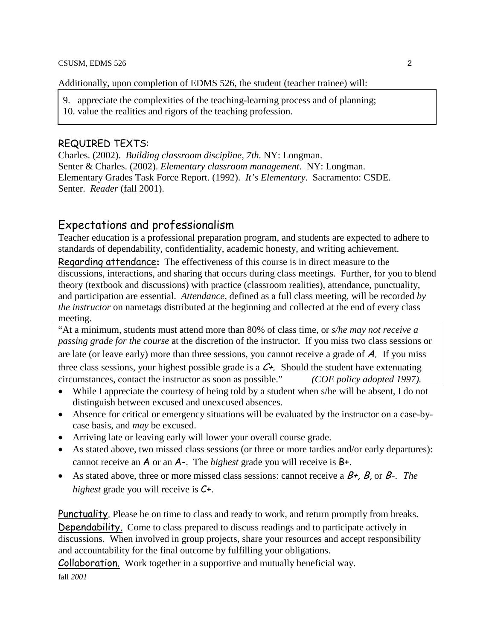Additionally, upon completion of EDMS 526, the student (teacher trainee) will:

9. appreciate the complexities of the teaching-learning process and of planning; 10. value the realities and rigors of the teaching profession.

## REQUIRED TEXTS:

Charles. (2002). *Building classroom discipline, 7th.* NY: Longman. Senter & Charles. (2002). *Elementary classroom management*. NY: Longman. Elementary Grades Task Force Report. (1992). *It's Elementary*. Sacramento: CSDE. Senter. *Reader* (fall 2001).

## Expectations and professionalism

Teacher education is a professional preparation program, and students are expected to adhere to standards of dependability, confidentiality, academic honesty, and writing achievement.

Regarding attendance**:** The effectiveness of this course is in direct measure to the discussions, interactions, and sharing that occurs during class meetings. Further, for you to blend theory (textbook and discussions) with practice (classroom realities), attendance, punctuality, and participation are essential. *Attendance*, defined as a full class meeting, will be recorded *by the instructor* on nametags distributed at the beginning and collected at the end of every class meeting.

"At a minimum, students must attend more than 80% of class time, or *s/he may not receive a passing grade for the course* at the discretion of the instructor. If you miss two class sessions or are late (or leave early) more than three sessions, you cannot receive a grade of  $A$ . If you miss three class sessions, your highest possible grade is a  $C<sup>+</sup>$ . Should the student have extenuating circumstances, contact the instructor as soon as possible." *(COE policy adopted 1997).*

- While I appreciate the courtesy of being told by a student when s/he will be absent, I do not distinguish between excused and unexcused absences.
- Absence for critical or emergency situations will be evaluated by the instructor on a case-bycase basis, and *may* be excused.
- Arriving late or leaving early will lower your overall course grade.
- As stated above, two missed class sessions (or three or more tardies and/or early departures): cannot receive an A or an A-. The *highest* grade you will receive is B+.
- As stated above, three or more missed class sessions: cannot receive a B+, B, or B-. *The highest* grade you will receive is C+.

Punctuality. Please be on time to class and ready to work, and return promptly from breaks. Dependability. Come to class prepared to discuss readings and to participate actively in discussions. When involved in group projects, share your resources and accept responsibility and accountability for the final outcome by fulfilling your obligations.

Collaboration. Work together in a supportive and mutually beneficial way.

fall *2001*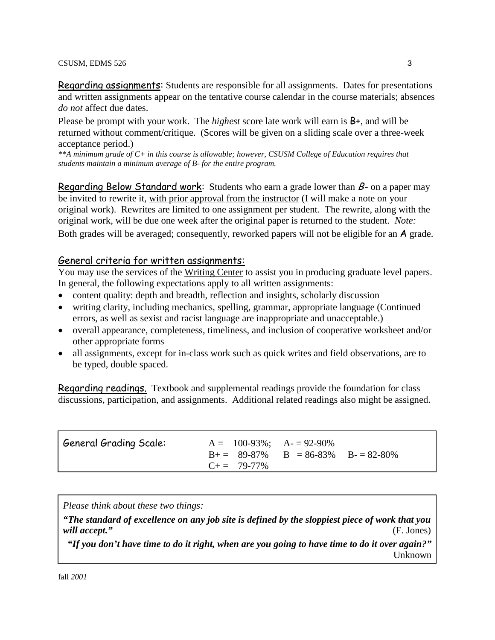#### CSUSM, EDMS 526 3

Regarding assignments: Students are responsible for all assignments. Dates for presentations and written assignments appear on the tentative course calendar in the course materials; absences *do not* affect due dates.

Please be prompt with your work. The *highest* score late work will earn is B+, and will be returned without comment/critique. (Scores will be given on a sliding scale over a three-week acceptance period.)

*\*\*A minimum grade of C+ in this course is allowable; however, CSUSM College of Education requires that students maintain a minimum average of B- for the entire program.* 

Regarding Below Standard work: Students who earn a grade lower than  $B$ - on a paper may be invited to rewrite it, with prior approval from the instructor (I will make a note on your original work). Rewrites are limited to one assignment per student. The rewrite, along with the original work, will be due one week after the original paper is returned to the student. *Note:* Both grades will be averaged; consequently, reworked papers will not be eligible for an A grade.

### General criteria for written assignments:

You may use the services of the Writing Center to assist you in producing graduate level papers. In general, the following expectations apply to all written assignments:

- content quality: depth and breadth, reflection and insights, scholarly discussion
- writing clarity, including mechanics, spelling, grammar, appropriate language (Continued errors, as well as sexist and racist language are inappropriate and unacceptable.)
- overall appearance, completeness, timeliness, and inclusion of cooperative worksheet and/or other appropriate forms
- all assignments, except for in-class work such as quick writes and field observations, are to be typed, double spaced.

Regarding readings.Textbook and supplemental readings provide the foundation for class discussions, participation, and assignments. Additional related readings also might be assigned.

| $A = 100-93\%$ ; $A = 92-90\%$<br>$B_{+} = 89-87\%$ B = 86-83% B- = 82-80%<br>$C_{\pm} = 79-77\%$ | <b>General Grading Scale:</b> |  |  |  |
|---------------------------------------------------------------------------------------------------|-------------------------------|--|--|--|
|---------------------------------------------------------------------------------------------------|-------------------------------|--|--|--|

*Please think about these two things:* 

*"The standard of excellence on any job site is defined by the sloppiest piece of work that you will accept."* (F. Jones)

*"If you don't have time to do it right, when are you going to have time to do it over again?"* Unknown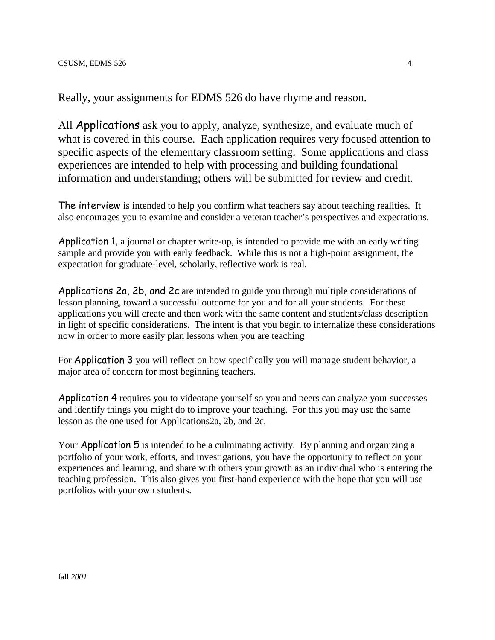Really, your assignments for EDMS 526 do have rhyme and reason.

All Applications ask you to apply, analyze, synthesize, and evaluate much of what is covered in this course. Each application requires very focused attention to specific aspects of the elementary classroom setting. Some applications and class experiences are intended to help with processing and building foundational information and understanding; others will be submitted for review and credit.

The interview is intended to help you confirm what teachers say about teaching realities. It also encourages you to examine and consider a veteran teacher's perspectives and expectations.

Application 1, a journal or chapter write-up, is intended to provide me with an early writing sample and provide you with early feedback. While this is not a high-point assignment, the expectation for graduate-level, scholarly, reflective work is real.

Applications 2a, 2b, and 2c are intended to guide you through multiple considerations of lesson planning, toward a successful outcome for you and for all your students. For these applications you will create and then work with the same content and students/class description in light of specific considerations. The intent is that you begin to internalize these considerations now in order to more easily plan lessons when you are teaching

For Application 3 you will reflect on how specifically you will manage student behavior, a major area of concern for most beginning teachers.

Application 4 requires you to videotape yourself so you and peers can analyze your successes and identify things you might do to improve your teaching. For this you may use the same lesson as the one used for Applications2a, 2b, and 2c.

Your **Application 5** is intended to be a culminating activity. By planning and organizing a portfolio of your work, efforts, and investigations, you have the opportunity to reflect on your experiences and learning, and share with others your growth as an individual who is entering the teaching profession. This also gives you first-hand experience with the hope that you will use portfolios with your own students.